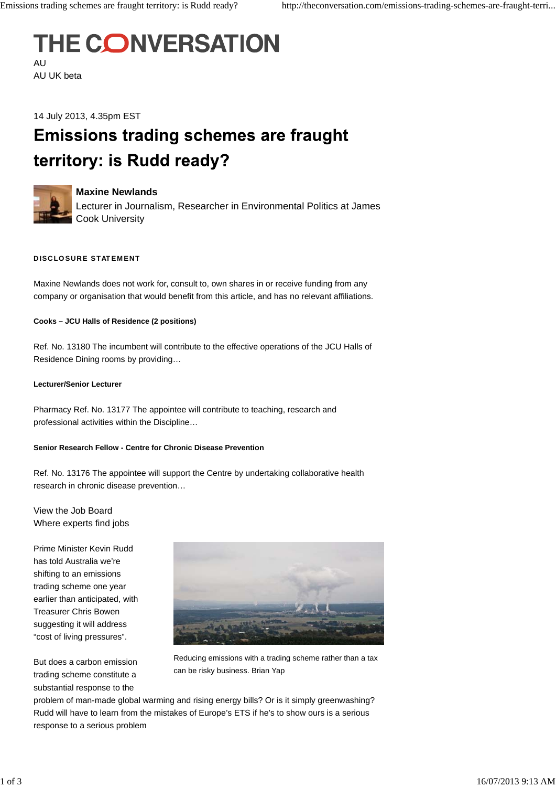## **THE CONVERSATION** AU

AU UK beta

14 July 2013, 4.35pm EST

# **Emissions trading schemes are fraught** territory: is Rudd ready?



### **Maxine Newlands**

Lecturer in Journalism, Researcher in Environmental Politics at James Cook University

#### **DISCLOSURE STATEMENT**

Maxine Newlands does not work for, consult to, own shares in or receive funding from any company or organisation that would benefit from this article, and has no relevant affiliations.

#### **Cooks – JCU Halls of Residence (2 positions)**

Ref. No. 13180 The incumbent will contribute to the effective operations of the JCU Halls of Residence Dining rooms by providing…

#### **Lecturer/Senior Lecturer**

Pharmacy Ref. No. 13177 The appointee will contribute to teaching, research and professional activities within the Discipline…

#### **Senior Research Fellow - Centre for Chronic Disease Prevention**

Ref. No. 13176 The appointee will support the Centre by undertaking collaborative health research in chronic disease prevention…

View the Job Board Where experts find jobs

Prime Minister Kevin Rudd has told Australia we're shifting to an emissions trading scheme one year earlier than anticipated, with Treasurer Chris Bowen suggesting it will address "cost of living pressures".

But does a carbon emission trading scheme constitute a substantial response to the



Reducing emissions with a trading scheme rather than a tax can be risky business. Brian Yap

problem of man-made global warming and rising energy bills? Or is it simply greenwashing? Rudd will have to learn from the mistakes of Europe's ETS if he's to show ours is a serious response to a serious problem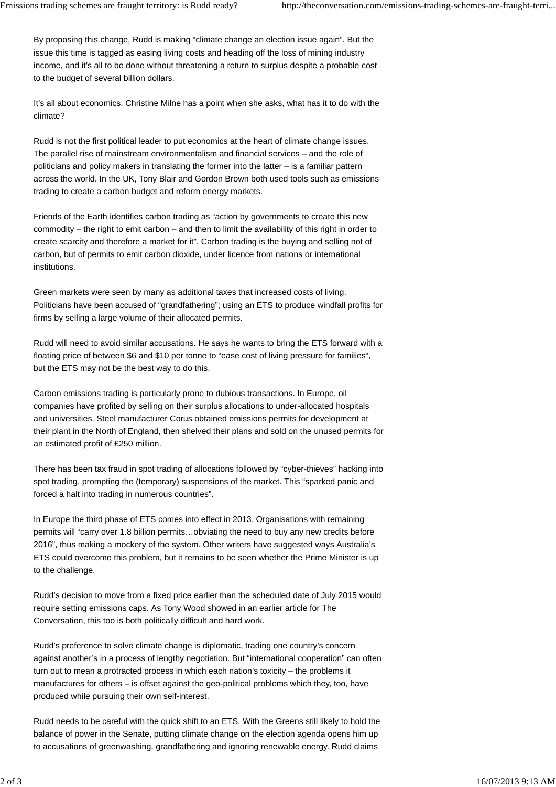By proposing this change, Rudd is making "climate change an election issue again". But the issue this time is tagged as easing living costs and heading off the loss of mining industry income, and it's all to be done without threatening a return to surplus despite a probable cost to the budget of several billion dollars.

It's all about economics. Christine Milne has a point when she asks, what has it to do with the climate?

Rudd is not the first political leader to put economics at the heart of climate change issues. The parallel rise of mainstream environmentalism and financial services – and the role of politicians and policy makers in translating the former into the latter – is a familiar pattern across the world. In the UK, Tony Blair and Gordon Brown both used tools such as emissions trading to create a carbon budget and reform energy markets.

Friends of the Earth identifies carbon trading as "action by governments to create this new commodity – the right to emit carbon – and then to limit the availability of this right in order to create scarcity and therefore a market for it". Carbon trading is the buying and selling not of carbon, but of permits to emit carbon dioxide, under licence from nations or international institutions.

Green markets were seen by many as additional taxes that increased costs of living. Politicians have been accused of "grandfathering"; using an ETS to produce windfall profits for firms by selling a large volume of their allocated permits.

Rudd will need to avoid similar accusations. He says he wants to bring the ETS forward with a floating price of between \$6 and \$10 per tonne to "ease cost of living pressure for families", but the ETS may not be the best way to do this.

Carbon emissions trading is particularly prone to dubious transactions. In Europe, oil companies have profited by selling on their surplus allocations to under-allocated hospitals and universities. Steel manufacturer Corus obtained emissions permits for development at their plant in the North of England, then shelved their plans and sold on the unused permits for an estimated profit of £250 million.

There has been tax fraud in spot trading of allocations followed by "cyber-thieves" hacking into spot trading, prompting the (temporary) suspensions of the market. This "sparked panic and forced a halt into trading in numerous countries".

In Europe the third phase of ETS comes into effect in 2013. Organisations with remaining permits will "carry over 1.8 billion permits…obviating the need to buy any new credits before 2016", thus making a mockery of the system. Other writers have suggested ways Australia's ETS could overcome this problem, but it remains to be seen whether the Prime Minister is up to the challenge.

Rudd's decision to move from a fixed price earlier than the scheduled date of July 2015 would require setting emissions caps. As Tony Wood showed in an earlier article for The Conversation, this too is both politically difficult and hard work.

Rudd's preference to solve climate change is diplomatic, trading one country's concern against another's in a process of lengthy negotiation. But "international cooperation" can often turn out to mean a protracted process in which each nation's toxicity – the problems it manufactures for others – is offset against the geo-political problems which they, too, have produced while pursuing their own self-interest.

Rudd needs to be careful with the quick shift to an ETS. With the Greens still likely to hold the balance of power in the Senate, putting climate change on the election agenda opens him up to accusations of greenwashing, grandfathering and ignoring renewable energy. Rudd claims